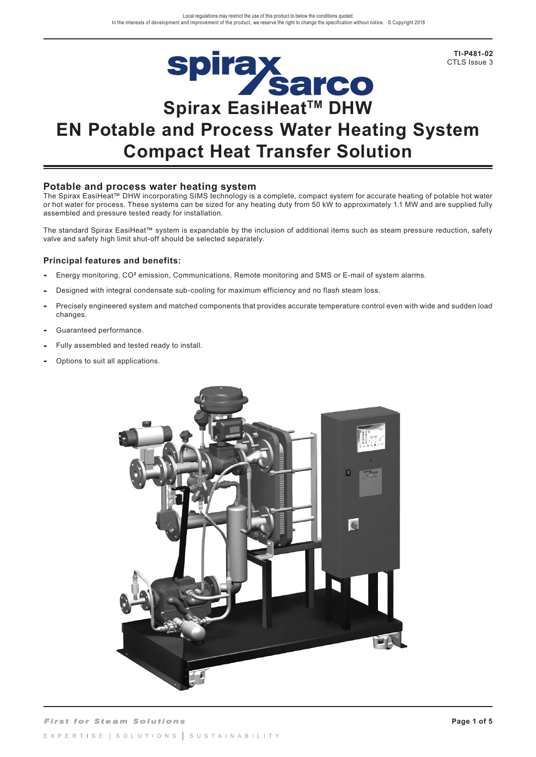

# **Spirax<br>Sarco**<br>Spirax EasiHeat™ DHW **EN Potable and Process Water Heating System Compact Heat Transfer Solution**

#### **Potable and process water heating system**

The Spirax EasiHeat™ DHW incorporating SIMS technology is a complete, compact system for accurate heating of potable hot water or hot water for process. These systems can be sized for any heating duty from 50 kW to approximately 1.1 MW and are supplied fully assembled and pressure tested ready for installation.

The standard Spirax EasiHeat™ system is expandable by the inclusion of additional items such as steam pressure reduction, safety valve and safety high limit shut-off should be selected separately.

#### **Principal features and benefits:**

- **-** Energy monitoring, CO**<sup>2</sup>** emission, Communications, Remote monitoring and SMS or E-mail of system alarms.
- **-** Designed with integral condensate sub-cooling for maximum efficiency and no flash steam loss.
- **-** Precisely engineered system and matched components that provides accurate temperature control even with wide and sudden load changes.
- Guaranteed performance.
- Fully assembled and tested ready to install.
- Options to suit all applications.

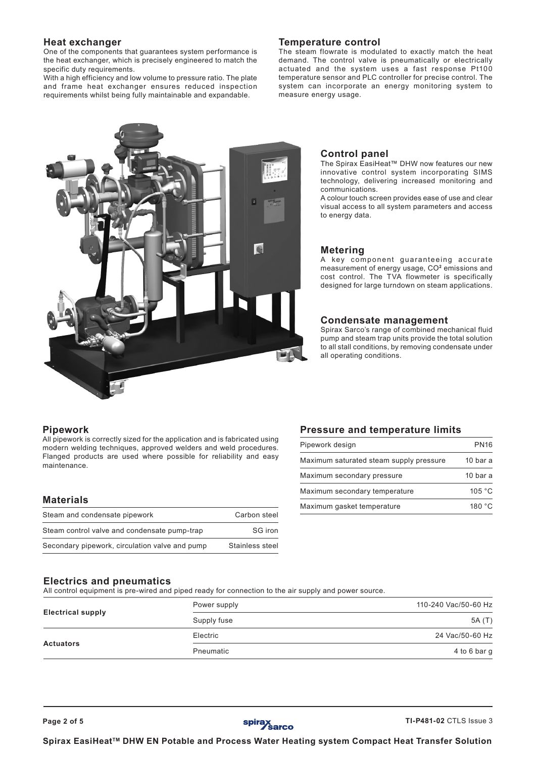#### **Heat exchanger**

One of the components that guarantees system performance is the heat exchanger, which is precisely engineered to match the specific duty requirements.

With a high efficiency and low volume to pressure ratio. The plate and frame heat exchanger ensures reduced inspection requirements whilst being fully maintainable and expandable.

#### **Temperature control**

The steam flowrate is modulated to exactly match the heat demand. The control valve is pneumatically or electrically actuated and the system uses a fast response Pt100 temperature sensor and PLC controller for precise control. The system can incorporate an energy monitoring system to measure energy usage.



#### **Control panel**

The Spirax EasiHeat™ DHW now features our new innovative control system incorporating SIMS technology, delivering increased monitoring and communications.

A colour touch screen provides ease of use and clear visual access to all system parameters and access to energy data.

#### **Metering**

A key component guaranteeing accurate measurement of energy usage, CO**<sup>2</sup>** emissions and cost control. The TVA flowmeter is specifically designed for large turndown on steam applications.

#### **Condensate management**

Spirax Sarco's range of combined mechanical fluid pump and steam trap units provide the total solution to all stall conditions, by removing condensate under all operating conditions.

#### **Pipework**

All pipework is correctly sized for the application and is fabricated using modern welding techniques, approved welders and weld procedures. Flanged products are used where possible for reliability and easy maintenance.

### **Materials**

| Steam and condensate pipework                  | Carbon steel    |
|------------------------------------------------|-----------------|
| Steam control valve and condensate pump-trap   | SG iron         |
| Secondary pipework, circulation valve and pump | Stainless steel |

#### **Pressure and temperature limits**

| Pipework design                         | <b>PN16</b>         |
|-----------------------------------------|---------------------|
| Maximum saturated steam supply pressure | 10 bar a            |
| Maximum secondary pressure              | 10 <sub>bar</sub> a |
| Maximum secondary temperature           | 105 $\degree$ C     |
| Maximum gasket temperature              | 180 $^{\circ}$ C    |

#### **Electrics and pneumatics**

All control equipment is pre-wired and piped ready for connection to the air supply and power source.

|                          | Power supply | 110-240 Vac/50-60 Hz |
|--------------------------|--------------|----------------------|
| <b>Electrical supply</b> | Supply fuse  | 5A (T)               |
|                          | Electric     | 24 Vac/50-60 Hz      |
| <b>Actuators</b>         | Pneumatic    | 4 to 6 bar g         |

Spirax EasiHeat<sup>™</sup> DHW EN Potable and Process Water Heating system Compact Heat Transfer Solution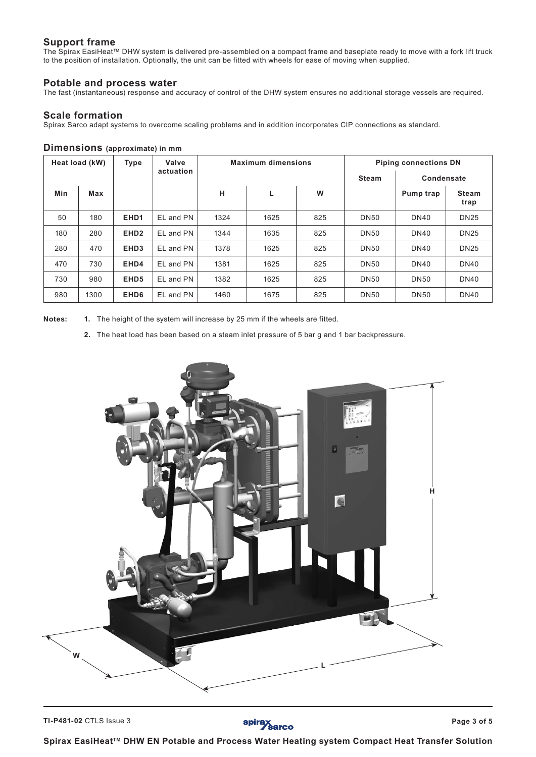## **Support frame**

The Spirax EasiHeat™ DHW system is delivered pre-assembled on a compact frame and baseplate ready to move with a fork lift truck to the position of installation. Optionally, the unit can be fitted with wheels for ease of moving when supplied.

#### **Potable and process water**

The fast (instantaneous) response and accuracy of control of the DHW system ensures no additional storage vessels are required.

#### **Scale formation**

Spirax Sarco adapt systems to overcome scaling problems and in addition incorporates CIP connections as standard.

#### **Dimensions (approximate) in mm**

|     | Heat load (kW) | <b>Type</b>      | Valve     |      | <b>Maximum dimensions</b> |     |              | <b>Piping connections DN</b> |                      |
|-----|----------------|------------------|-----------|------|---------------------------|-----|--------------|------------------------------|----------------------|
|     |                |                  | actuation |      |                           |     | <b>Steam</b> | Condensate                   |                      |
| Min | Max            |                  |           | н    | L                         | W   |              | Pump trap                    | <b>Steam</b><br>trap |
| 50  | 180            | EHD <sub>1</sub> | EL and PN | 1324 | 1625                      | 825 | <b>DN50</b>  | <b>DN40</b>                  | <b>DN25</b>          |
| 180 | 280            | EHD <sub>2</sub> | EL and PN | 1344 | 1635                      | 825 | <b>DN50</b>  | <b>DN40</b>                  | <b>DN25</b>          |
| 280 | 470            | EHD <sub>3</sub> | EL and PN | 1378 | 1625                      | 825 | <b>DN50</b>  | <b>DN40</b>                  | <b>DN25</b>          |
| 470 | 730            | EHD4             | EL and PN | 1381 | 1625                      | 825 | <b>DN50</b>  | <b>DN40</b>                  | <b>DN40</b>          |
| 730 | 980            | EHD <sub>5</sub> | EL and PN | 1382 | 1625                      | 825 | <b>DN50</b>  | <b>DN50</b>                  | <b>DN40</b>          |
| 980 | 1300           | EHD <sub>6</sub> | EL and PN | 1460 | 1675                      | 825 | <b>DN50</b>  | <b>DN50</b>                  | <b>DN40</b>          |

**Notes: 1.** The height of the system will increase by 25 mm if the wheels are fitted.

**2.** The heat load has been based on a steam inlet pressure of 5 bar g and 1 bar backpressure.



spirax<br>Sarco

Spirax EasiHeat<sup>™</sup> DHW EN Potable and Process Water Heating system Compact Heat Transfer Solution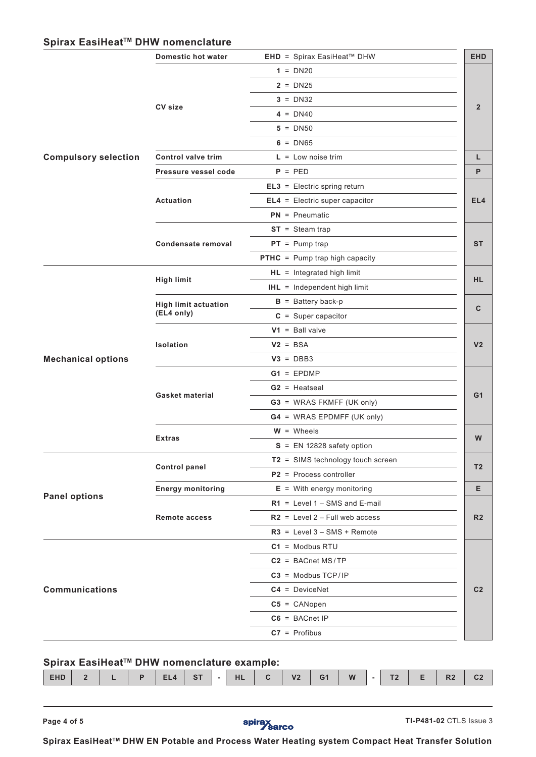# Spirax EasiHeat<sup>™</sup> DHW nomenclature

|                             | Domestic hot water          | <b>EHD</b> = Spirax EasiHeat™ DHW     | <b>EHD</b>      |
|-----------------------------|-----------------------------|---------------------------------------|-----------------|
|                             |                             | $1 = DN20$                            |                 |
|                             |                             | $2 = DN25$                            |                 |
|                             |                             | $3 = DN32$                            |                 |
|                             | <b>CV size</b>              | $4 = DN40$                            | $\overline{2}$  |
|                             |                             | $5 = DN50$                            |                 |
|                             |                             | $6 = D N65$                           |                 |
| <b>Compulsory selection</b> | <b>Control valve trim</b>   | $L = Low noise trim$                  | Г               |
|                             | Pressure vessel code        | $P = PED$                             | P               |
|                             |                             | $EL3 = Electric spring return$        |                 |
|                             | Actuation                   | $EL4 = Electric super capacitor$      | EL <sub>4</sub> |
|                             |                             | $PN = P$ neumatic                     |                 |
|                             |                             | $ST = Steam trap$                     |                 |
|                             | Condensate removal          | $PT = Pump trap$                      | <b>ST</b>       |
|                             |                             | <b>PTHC</b> = Pump trap high capacity |                 |
|                             |                             | $HL =$ Integrated high limit          |                 |
|                             | <b>High limit</b>           | <b>IHL</b> = Independent high limit   | <b>HL</b>       |
|                             | <b>High limit actuation</b> | $B =$ Battery back-p                  |                 |
|                             | (EL4 only)                  | $C = Super capacitor$                 | $\mathbf{C}$    |
|                             |                             | $V1 =$ Ball valve                     |                 |
|                             | Isolation                   | $V2 = BSA$                            | V <sub>2</sub>  |
| <b>Mechanical options</b>   |                             | $V3 = DBB3$                           |                 |
|                             |                             | $G1 = EPDMP$                          |                 |
|                             |                             | $G2$ = Heatseal                       |                 |
|                             | Gasket material             | <b>G3</b> = WRAS FKMFF (UK only)      | G <sub>1</sub>  |
|                             |                             | <b>G4</b> = WRAS EPDMFF (UK only)     |                 |
|                             |                             | $W =$ Wheels                          |                 |
|                             | <b>Extras</b>               | $S = EN 12828$ safety option          | W               |
|                             |                             | T2 = SIMS technology touch screen     |                 |
|                             | <b>Control panel</b>        | $P2$ = Process controller             | T <sub>2</sub>  |
|                             | <b>Energy monitoring</b>    | $E =$ With energy monitoring          | Е               |
| <b>Panel options</b>        |                             | $R1$ = Level 1 – SMS and E-mail       |                 |
|                             | Remote access               | $R2$ = Level 2 – Full web access      | R <sub>2</sub>  |
|                             |                             | $R3$ = Level $3 - SMS + Remote$       |                 |
|                             |                             | $C1 = Modbus RTU$                     |                 |
|                             |                             | $C2 = BACnet MS/TP$                   |                 |
|                             |                             | $C3$ = Modbus TCP/IP                  |                 |
| <b>Communications</b>       |                             | $C4 = DeviceNet$                      | C <sub>2</sub>  |
|                             |                             | $C5 = CANopen$                        |                 |
|                             |                             | $C6 = BACnet IP$                      |                 |
|                             |                             | $C7 =$ Profibus                       |                 |
|                             |                             |                                       |                 |

# Spirax EasiHeat<sup>™</sup> DHW nomenclature example:

| $\sim$<br><b>EHD</b><br>D <sub>2</sub><br>G <sub>1</sub><br>$-07$<br>W<br>V <sub>2</sub><br>T <sub>0</sub><br><b>LII</b><br>E1<br>$\sqrt{ }$ |
|----------------------------------------------------------------------------------------------------------------------------------------------|
|----------------------------------------------------------------------------------------------------------------------------------------------|

**Page 4 of 5 Page 4 of 5 Page 4 of 5 TI-P481-02** CTLS Issue 3

Spirax EasiHeat<sup>™</sup> DHW EN Potable and Process Water Heating system Compact Heat Transfer Solution